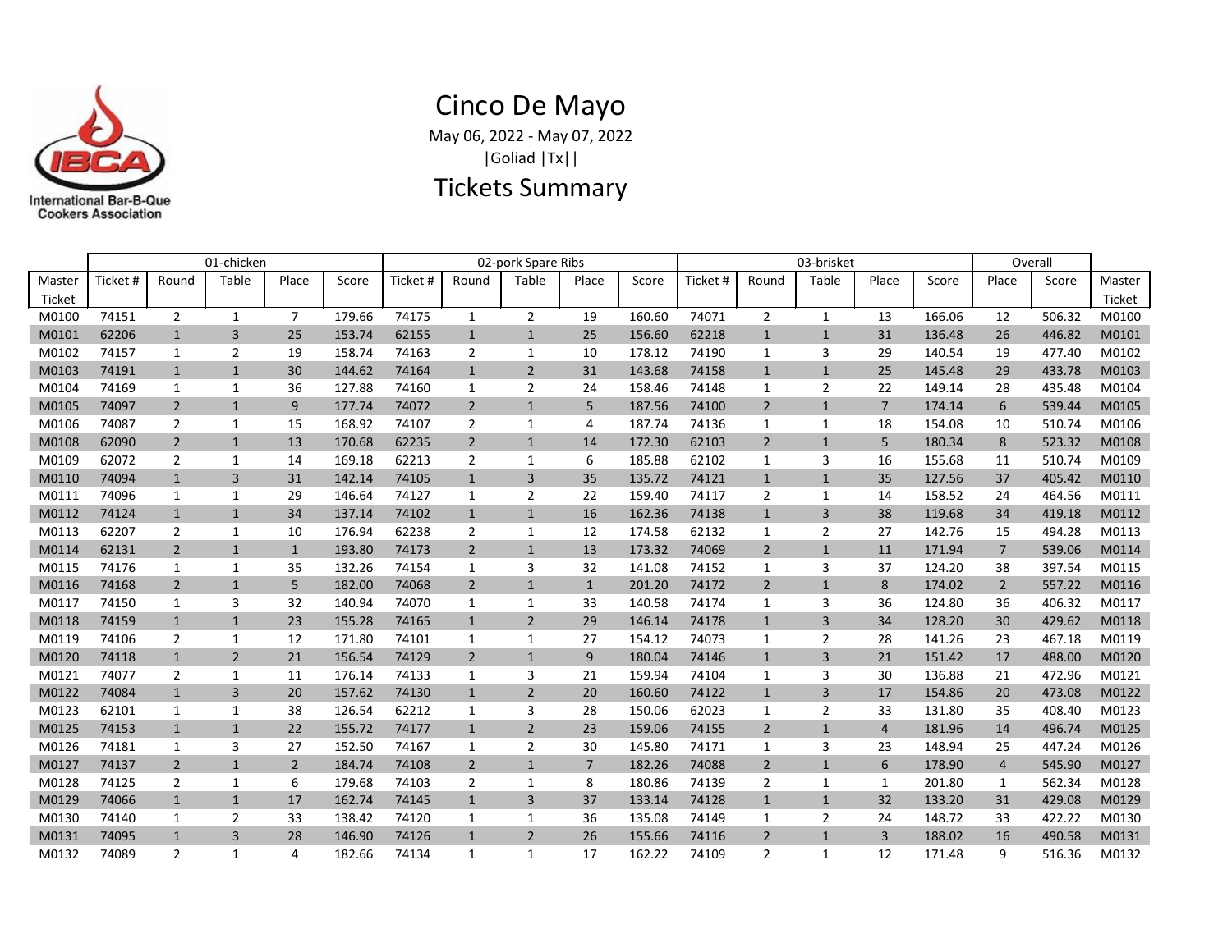

## Cinco De Mayo May 06, 2022 - May 07, 2022

|Goliad |Tx||

## Tickets Summary

|        | 01-chicken |                |                |                |        | 02-pork Spare Ribs |                |                |                |        | 03-brisket |                |                |                |        | Overall        |        |        |
|--------|------------|----------------|----------------|----------------|--------|--------------------|----------------|----------------|----------------|--------|------------|----------------|----------------|----------------|--------|----------------|--------|--------|
| Master | Ticket #   | Round          | Table          | Place          | Score  | Ticket#            | Round          | Table          | Place          | Score  | Ticket #   | Round          | Table          | Place          | Score  | Place          | Score  | Master |
| Ticket |            |                |                |                |        |                    |                |                |                |        |            |                |                |                |        |                |        | Ticket |
| M0100  | 74151      | $\overline{2}$ | $\mathbf{1}$   | $\overline{7}$ | 179.66 | 74175              | $\mathbf{1}$   | $\overline{2}$ | 19             | 160.60 | 74071      | $\overline{2}$ | $\mathbf{1}$   | 13             | 166.06 | 12             | 506.32 | M0100  |
| M0101  | 62206      | $\mathbf{1}$   | 3              | 25             | 153.74 | 62155              | $\mathbf{1}$   | $\mathbf{1}$   | 25             | 156.60 | 62218      | $\mathbf{1}$   | $\mathbf{1}$   | 31             | 136.48 | 26             | 446.82 | M0101  |
| M0102  | 74157      | 1              | $\overline{2}$ | 19             | 158.74 | 74163              | $\overline{2}$ | $\mathbf{1}$   | 10             | 178.12 | 74190      | 1              | 3              | 29             | 140.54 | 19             | 477.40 | M0102  |
| M0103  | 74191      | $\mathbf{1}$   | $\mathbf{1}$   | 30             | 144.62 | 74164              | $\mathbf{1}$   | $\overline{2}$ | 31             | 143.68 | 74158      | $\mathbf{1}$   | $\mathbf{1}$   | 25             | 145.48 | 29             | 433.78 | M0103  |
| M0104  | 74169      | $\mathbf{1}$   | 1              | 36             | 127.88 | 74160              | 1              | $\overline{2}$ | 24             | 158.46 | 74148      | 1              | $\overline{2}$ | 22             | 149.14 | 28             | 435.48 | M0104  |
| M0105  | 74097      | $\overline{2}$ | $\mathbf{1}$   | 9              | 177.74 | 74072              | $\overline{2}$ | $\mathbf{1}$   | 5              | 187.56 | 74100      | $\overline{2}$ | $\mathbf{1}$   | $\overline{7}$ | 174.14 | 6              | 539.44 | M0105  |
| M0106  | 74087      | $\overline{2}$ | 1              | 15             | 168.92 | 74107              | $\overline{2}$ | 1              | 4              | 187.74 | 74136      | 1              | 1              | 18             | 154.08 | 10             | 510.74 | M0106  |
| M0108  | 62090      | $\overline{2}$ | $\mathbf{1}$   | 13             | 170.68 | 62235              | $\overline{2}$ | $\mathbf{1}$   | 14             | 172.30 | 62103      | $\overline{2}$ | $\mathbf{1}$   | 5              | 180.34 | 8              | 523.32 | M0108  |
| M0109  | 62072      | $\overline{2}$ | 1              | 14             | 169.18 | 62213              | $\overline{2}$ | 1              | 6              | 185.88 | 62102      | 1              | 3              | 16             | 155.68 | 11             | 510.74 | M0109  |
| M0110  | 74094      | $\mathbf{1}$   | $\overline{3}$ | 31             | 142.14 | 74105              | $\mathbf{1}$   | 3              | 35             | 135.72 | 74121      | $\mathbf{1}$   | $\mathbf{1}$   | 35             | 127.56 | 37             | 405.42 | M0110  |
| M0111  | 74096      | $\mathbf{1}$   | 1              | 29             | 146.64 | 74127              | 1              | $\overline{2}$ | 22             | 159.40 | 74117      | $\overline{2}$ | 1              | 14             | 158.52 | 24             | 464.56 | M0111  |
| M0112  | 74124      | $\mathbf{1}$   | $\mathbf{1}$   | 34             | 137.14 | 74102              | $\mathbf{1}$   | $\mathbf{1}$   | 16             | 162.36 | 74138      | $\mathbf{1}$   | $\overline{3}$ | 38             | 119.68 | 34             | 419.18 | M0112  |
| M0113  | 62207      | $\overline{2}$ | $\mathbf{1}$   | 10             | 176.94 | 62238              | $\overline{2}$ | $\mathbf{1}$   | 12             | 174.58 | 62132      | 1              | $\overline{2}$ | 27             | 142.76 | 15             | 494.28 | M0113  |
| M0114  | 62131      | $\overline{2}$ | $\mathbf{1}$   | $\mathbf{1}$   | 193.80 | 74173              | $\overline{2}$ | $\mathbf{1}$   | 13             | 173.32 | 74069      | $\overline{2}$ | $\mathbf{1}$   | 11             | 171.94 | $\overline{7}$ | 539.06 | M0114  |
| M0115  | 74176      | 1              | $\mathbf{1}$   | 35             | 132.26 | 74154              | 1              | 3              | 32             | 141.08 | 74152      | 1              | 3              | 37             | 124.20 | 38             | 397.54 | M0115  |
| M0116  | 74168      | $\overline{2}$ | $\mathbf{1}$   | 5              | 182.00 | 74068              | $\overline{2}$ | $\mathbf{1}$   | $\mathbf{1}$   | 201.20 | 74172      | $\overline{2}$ | $\mathbf{1}$   | 8              | 174.02 | $\overline{2}$ | 557.22 | M0116  |
| M0117  | 74150      | $\mathbf{1}$   | 3              | 32             | 140.94 | 74070              | 1              | $\mathbf{1}$   | 33             | 140.58 | 74174      | 1              | 3              | 36             | 124.80 | 36             | 406.32 | M0117  |
| M0118  | 74159      | $\mathbf{1}$   | $\mathbf{1}$   | 23             | 155.28 | 74165              | $\mathbf{1}$   | $\overline{2}$ | 29             | 146.14 | 74178      | $\mathbf{1}$   | $\overline{3}$ | 34             | 128.20 | 30             | 429.62 | M0118  |
| M0119  | 74106      | $\overline{2}$ | 1              | 12             | 171.80 | 74101              | 1              | $\mathbf{1}$   | 27             | 154.12 | 74073      | 1              | $\overline{2}$ | 28             | 141.26 | 23             | 467.18 | M0119  |
| M0120  | 74118      | $\mathbf{1}$   | $\overline{2}$ | 21             | 156.54 | 74129              | $\overline{2}$ | $\mathbf{1}$   | 9              | 180.04 | 74146      | $\mathbf{1}$   | $\overline{3}$ | 21             | 151.42 | 17             | 488.00 | M0120  |
| M0121  | 74077      | 2              | 1              | 11             | 176.14 | 74133              | 1              | 3              | 21             | 159.94 | 74104      | 1              | 3              | 30             | 136.88 | 21             | 472.96 | M0121  |
| M0122  | 74084      | $\mathbf{1}$   | 3              | 20             | 157.62 | 74130              | $\mathbf{1}$   | $\overline{2}$ | 20             | 160.60 | 74122      | $\mathbf{1}$   | 3              | 17             | 154.86 | 20             | 473.08 | M0122  |
| M0123  | 62101      | 1              | $\mathbf{1}$   | 38             | 126.54 | 62212              | 1              | 3              | 28             | 150.06 | 62023      | 1              | $\overline{2}$ | 33             | 131.80 | 35             | 408.40 | M0123  |
| M0125  | 74153      | $\mathbf{1}$   | $\mathbf{1}$   | 22             | 155.72 | 74177              | $\mathbf{1}$   | $\overline{2}$ | 23             | 159.06 | 74155      | $\overline{2}$ | $\mathbf{1}$   | $\overline{4}$ | 181.96 | 14             | 496.74 | M0125  |
| M0126  | 74181      | $\mathbf{1}$   | 3              | 27             | 152.50 | 74167              | 1              | $\overline{2}$ | 30             | 145.80 | 74171      | 1              | 3              | 23             | 148.94 | 25             | 447.24 | M0126  |
| M0127  | 74137      | $\overline{2}$ | $\mathbf{1}$   | $\overline{2}$ | 184.74 | 74108              | $\overline{2}$ | $\mathbf{1}$   | $\overline{7}$ | 182.26 | 74088      | $\overline{2}$ | $\mathbf{1}$   | 6              | 178.90 | 4              | 545.90 | M0127  |
| M0128  | 74125      | $\overline{2}$ | 1              | 6              | 179.68 | 74103              | $\overline{2}$ | $\mathbf{1}$   | 8              | 180.86 | 74139      | 2              | 1              | 1              | 201.80 | 1              | 562.34 | M0128  |
| M0129  | 74066      | $\mathbf{1}$   | $\mathbf{1}$   | 17             | 162.74 | 74145              | $\mathbf{1}$   | 3              | 37             | 133.14 | 74128      | $\mathbf{1}$   | $\mathbf{1}$   | 32             | 133.20 | 31             | 429.08 | M0129  |
| M0130  | 74140      | 1              | $\overline{2}$ | 33             | 138.42 | 74120              | 1              | $\mathbf{1}$   | 36             | 135.08 | 74149      | 1              | $\overline{2}$ | 24             | 148.72 | 33             | 422.22 | M0130  |
| M0131  | 74095      | $\mathbf{1}$   | 3              | 28             | 146.90 | 74126              | $\mathbf{1}$   | $\overline{2}$ | 26             | 155.66 | 74116      | $\overline{2}$ | $\mathbf{1}$   | $\overline{3}$ | 188.02 | 16             | 490.58 | M0131  |
| M0132  | 74089      | $\overline{2}$ | $\mathbf{1}$   | 4              | 182.66 | 74134              | $\mathbf{1}$   | $\mathbf{1}$   | 17             | 162.22 | 74109      | $\overline{2}$ | $\mathbf{1}$   | 12             | 171.48 | 9              | 516.36 | M0132  |